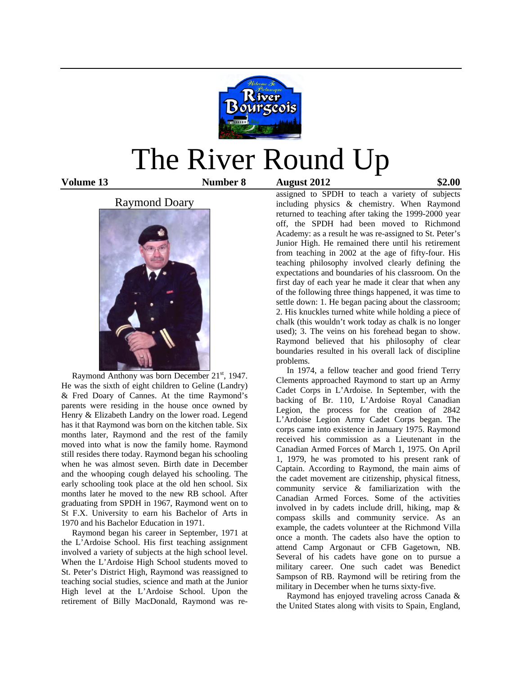

# The River Round Up

#### **Volume 13 Number 8 August 2012 \$2.00**

#### Raymond Doary



Raymond Anthony was born December 21<sup>st</sup>, 1947. He was the sixth of eight children to Geline (Landry) & Fred Doary of Cannes. At the time Raymond's parents were residing in the house once owned by Henry & Elizabeth Landry on the lower road. Legend has it that Raymond was born on the kitchen table. Six months later, Raymond and the rest of the family moved into what is now the family home. Raymond still resides there today. Raymond began his schooling when he was almost seven. Birth date in December and the whooping cough delayed his schooling. The early schooling took place at the old hen school. Six months later he moved to the new RB school. After graduating from SPDH in 1967, Raymond went on to St F.X. University to earn his Bachelor of Arts in 1970 and his Bachelor Education in 1971.

 Raymond began his career in September, 1971 at the L'Ardoise School. His first teaching assignment involved a variety of subjects at the high school level. When the L'Ardoise High School students moved to St. Peter's District High, Raymond was reassigned to teaching social studies, science and math at the Junior High level at the L'Ardoise School. Upon the retirement of Billy MacDonald, Raymond was re-

assigned to SPDH to teach a variety of subjects including physics & chemistry. When Raymond returned to teaching after taking the 1999-2000 year off, the SPDH had been moved to Richmond Academy: as a result he was re-assigned to St. Peter's Junior High. He remained there until his retirement from teaching in 2002 at the age of fifty-four. His teaching philosophy involved clearly defining the expectations and boundaries of his classroom. On the first day of each year he made it clear that when any of the following three things happened, it was time to settle down: 1. He began pacing about the classroom; 2. His knuckles turned white while holding a piece of chalk (this wouldn't work today as chalk is no longer used); 3. The veins on his forehead began to show. Raymond believed that his philosophy of clear boundaries resulted in his overall lack of discipline problems.

 In 1974, a fellow teacher and good friend Terry Clements approached Raymond to start up an Army Cadet Corps in L'Ardoise. In September, with the backing of Br. 110, L'Ardoise Royal Canadian Legion, the process for the creation of 2842 L'Ardoise Legion Army Cadet Corps began. The corps came into existence in January 1975. Raymond received his commission as a Lieutenant in the Canadian Armed Forces of March 1, 1975. On April 1, 1979, he was promoted to his present rank of Captain. According to Raymond, the main aims of the cadet movement are citizenship, physical fitness, community service & familiarization with the Canadian Armed Forces. Some of the activities involved in by cadets include drill, hiking, map & compass skills and community service. As an example, the cadets volunteer at the Richmond Villa once a month. The cadets also have the option to attend Camp Argonaut or CFB Gagetown, NB. Several of his cadets have gone on to pursue a military career. One such cadet was Benedict Sampson of RB. Raymond will be retiring from the military in December when he turns sixty-five.

 Raymond has enjoyed traveling across Canada & the United States along with visits to Spain, England,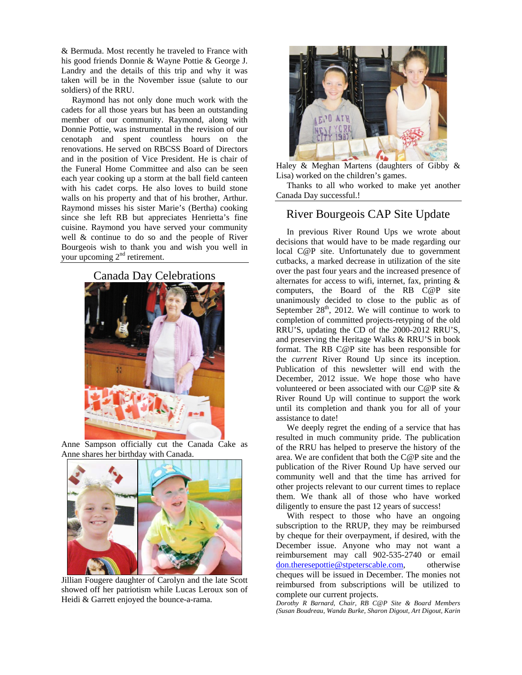& Bermuda. Most recently he traveled to France with his good friends Donnie & Wayne Pottie & George J. Landry and the details of this trip and why it was taken will be in the November issue (salute to our soldiers) of the RRU.

 Raymond has not only done much work with the cadets for all those years but has been an outstanding member of our community. Raymond, along with Donnie Pottie, was instrumental in the revision of our cenotaph and spent countless hours on the renovations. He served on RBCSS Board of Directors and in the position of Vice President. He is chair of the Funeral Home Committee and also can be seen each year cooking up a storm at the ball field canteen with his cadet corps. He also loves to build stone walls on his property and that of his brother, Arthur. Raymond misses his sister Marie's (Bertha) cooking since she left RB but appreciates Henrietta's fine cuisine. Raymond you have served your community well & continue to do so and the people of River Bourgeois wish to thank you and wish you well in your upcoming  $2<sup>nd</sup>$  retirement.



Anne Sampson officially cut the Canada Cake as Anne shares her birthday with Canada.



Jillian Fougere daughter of Carolyn and the late Scott showed off her patriotism while Lucas Leroux son of Heidi & Garrett enjoyed the bounce-a-rama.



Haley & Meghan Martens (daughters of Gibby & Lisa) worked on the children's games.

 Thanks to all who worked to make yet another Canada Day successful.!

### River Bourgeois CAP Site Update

 In previous River Round Ups we wrote about decisions that would have to be made regarding our local C@P site. Unfortunately due to government cutbacks, a marked decrease in utilization of the site over the past four years and the increased presence of alternates for access to wifi, internet, fax, printing & computers, the Board of the RB C@P site unanimously decided to close to the public as of September  $28<sup>th</sup>$ , 2012. We will continue to work to completion of committed projects-retyping of the old RRU'S, updating the CD of the 2000-2012 RRU'S, and preserving the Heritage Walks & RRU'S in book format. The RB C@P site has been responsible for the *current* River Round Up since its inception. Publication of this newsletter will end with the December, 2012 issue. We hope those who have volunteered or been associated with our C@P site & River Round Up will continue to support the work until its completion and thank you for all of your assistance to date!

 We deeply regret the ending of a service that has resulted in much community pride. The publication of the RRU has helped to preserve the history of the area. We are confident that both the C@P site and the publication of the River Round Up have served our community well and that the time has arrived for other projects relevant to our current times to replace them. We thank all of those who have worked diligently to ensure the past 12 years of success!

 With respect to those who have an ongoing subscription to the RRUP, they may be reimbursed by cheque for their overpayment, if desired, with the December issue. Anyone who may not want a reimbursement may call 902-535-2740 or email don.theresepottie@stpeterscable.com, otherwise cheques will be issued in December. The monies not reimbursed from subscriptions will be utilized to complete our current projects.

*Dorothy R Barnard, Chair, RB C@P Site & Board Members (Susan Boudreau, Wanda Burke, Sharon Digout, Art Digout, Karin*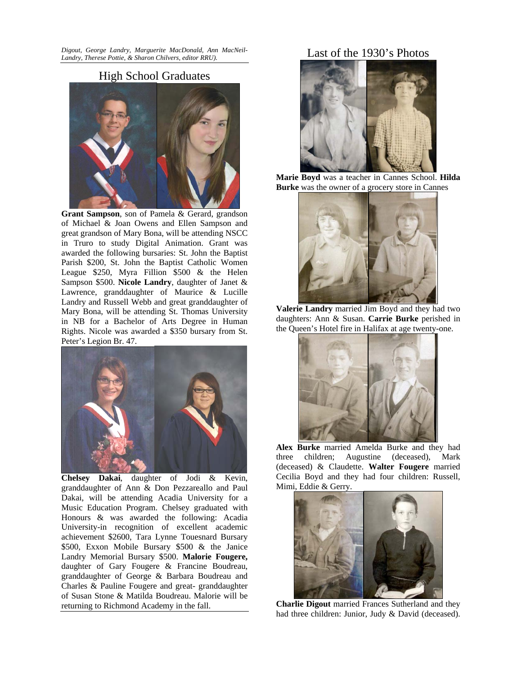*Digout, George Landry, Marguerite MacDonald, Ann MacNeil-Landry, Therese Pottie, & Sharon Chilvers, editor RRU).* 

#### High School Graduates



**Grant Sampson**, son of Pamela & Gerard, grandson of Michael & Joan Owens and Ellen Sampson and great grandson of Mary Bona, will be attending NSCC in Truro to study Digital Animation. Grant was awarded the following bursaries: St. John the Baptist Parish \$200, St. John the Baptist Catholic Women League \$250, Myra Fillion \$500 & the Helen Sampson \$500. **Nicole Landry**, daughter of Janet & Lawrence, granddaughter of Maurice & Lucille Landry and Russell Webb and great granddaughter of Mary Bona, will be attending St. Thomas University in NB for a Bachelor of Arts Degree in Human Rights. Nicole was awarded a \$350 bursary from St. Peter's Legion Br. 47.



**Chelsey Dakai**, daughter of Jodi & Kevin, granddaughter of Ann & Don Pezzareallo and Paul Dakai, will be attending Acadia University for a Music Education Program. Chelsey graduated with Honours & was awarded the following: Acadia University-in recognition of excellent academic achievement \$2600, Tara Lynne Touesnard Bursary \$500, Exxon Mobile Bursary \$500 & the Janice Landry Memorial Bursary \$500. **Malorie Fougere,** daughter of Gary Fougere & Francine Boudreau, granddaughter of George & Barbara Boudreau and Charles & Pauline Fougere and great- granddaughter of Susan Stone & Matilda Boudreau. Malorie will be returning to Richmond Academy in the fall.

## Last of the 1930's Photos



 **Marie Boyd** was a teacher in Cannes School. **Hilda Burke** was the owner of a grocery store in Cannes



**Valerie Landry** married Jim Boyd and they had two daughters: Ann & Susan. **Carrie Burke** perished in the Queen's Hotel fire in Halifax at age twenty-one.



**Alex Burke** married Amelda Burke and they had three children; Augustine (deceased), Mark (deceased) & Claudette. **Walter Fougere** married Cecilia Boyd and they had four children: Russell, Mimi, Eddie & Gerry.



**Charlie Digout** married Frances Sutherland and they had three children: Junior, Judy & David (deceased).